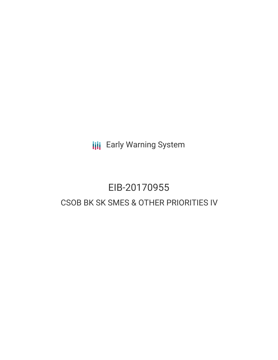**III** Early Warning System

# EIB-20170955 CSOB BK SK SMES & OTHER PRIORITIES IV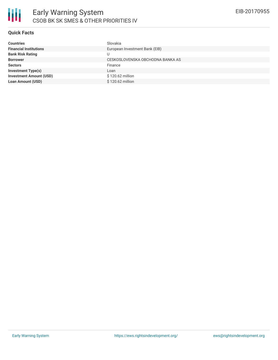

### **Quick Facts**

| Slovakia                         |
|----------------------------------|
| European Investment Bank (EIB)   |
| ل L                              |
| CESKOSLOVENSKA OBCHODNA BANKA AS |
| Finance                          |
| Loan                             |
| \$120,62 million                 |
| \$120,62 million                 |
|                                  |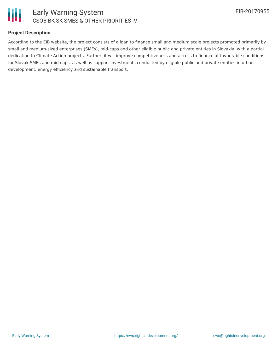

## **Project Description**

According to the EIB website, the project consists of a loan to finance small and medium scale projects promoted primarily by small and medium-sized enterprises (SMEs), mid-caps and other eligible public and private entities in Slovakia, with a partial dedication to Climate Action projects. Further, it will improve competitiveness and access to finance at favourable conditions for Slovak SMEs and mid-caps, as well as support investments conducted by eligible public and private entities in urban development, energy efficiency and sustainable transport.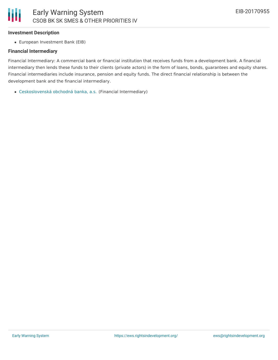

#### **Investment Description**

European Investment Bank (EIB)

#### **Financial Intermediary**

Financial Intermediary: A commercial bank or financial institution that receives funds from a development bank. A financial intermediary then lends these funds to their clients (private actors) in the form of loans, bonds, guarantees and equity shares. Financial intermediaries include insurance, pension and equity funds. The direct financial relationship is between the development bank and the financial intermediary.

[Ceskoslovenská](file:///actor/1262/) obchodná banka, a.s. (Financial Intermediary)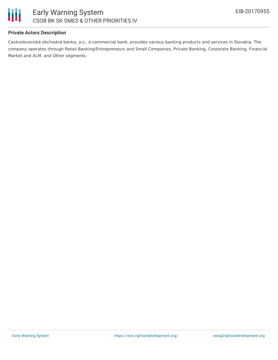

## **Private Actors Description**

Ceskoslovenská obchodná banka, a.s., a commercial bank, provides various banking products and services in Slovakia. The company operates through Retail Banking/Entrepreneurs and Small Companies, Private Banking, Corporate Banking, Financial Market and ALM, and Other segments.